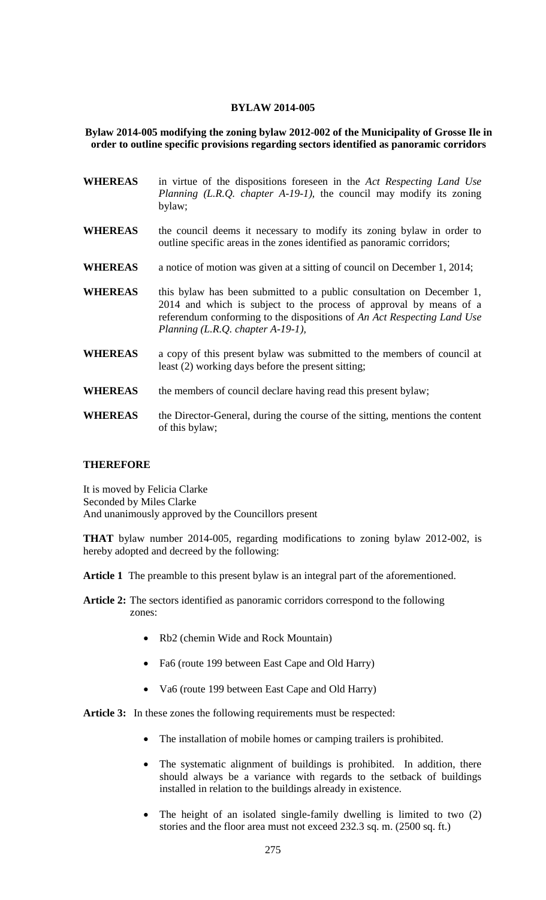## **BYLAW 2014-005**

## **Bylaw 2014-005 modifying the zoning bylaw 2012-002 of the Municipality of Grosse Ile in order to outline specific provisions regarding sectors identified as panoramic corridors**

- **WHEREAS** in virtue of the dispositions foreseen in the *Act Respecting Land Use Planning (L.R.Q. chapter A-19-1),* the council may modify its zoning bylaw;
- **WHEREAS** the council deems it necessary to modify its zoning bylaw in order to outline specific areas in the zones identified as panoramic corridors;
- **WHEREAS** a notice of motion was given at a sitting of council on December 1, 2014;
- WHEREAS this bylaw has been submitted to a public consultation on December 1, 2014 and which is subject to the process of approval by means of a referendum conforming to the dispositions of *An Act Respecting Land Use Planning (L.R.Q. chapter A-19-1),*
- **WHEREAS** a copy of this present bylaw was submitted to the members of council at least (2) working days before the present sitting;
- WHEREAS the members of council declare having read this present bylaw;
- WHEREAS the Director-General, during the course of the sitting, mentions the content of this bylaw;

## **THEREFORE**

It is moved by Felicia Clarke Seconded by Miles Clarke And unanimously approved by the Councillors present

**THAT** bylaw number 2014-005, regarding modifications to zoning bylaw 2012-002, is hereby adopted and decreed by the following:

**Article 1** The preamble to this present bylaw is an integral part of the aforementioned.

- **Article 2:** The sectors identified as panoramic corridors correspond to the following zones:
	- Rb2 (chemin Wide and Rock Mountain)
	- Fa6 (route 199 between East Cape and Old Harry)
	- Va6 (route 199 between East Cape and Old Harry)

Article 3: In these zones the following requirements must be respected:

- The installation of mobile homes or camping trailers is prohibited.
- The systematic alignment of buildings is prohibited. In addition, there should always be a variance with regards to the setback of buildings installed in relation to the buildings already in existence.
- The height of an isolated single-family dwelling is limited to two (2) stories and the floor area must not exceed 232.3 sq. m. (2500 sq. ft.)